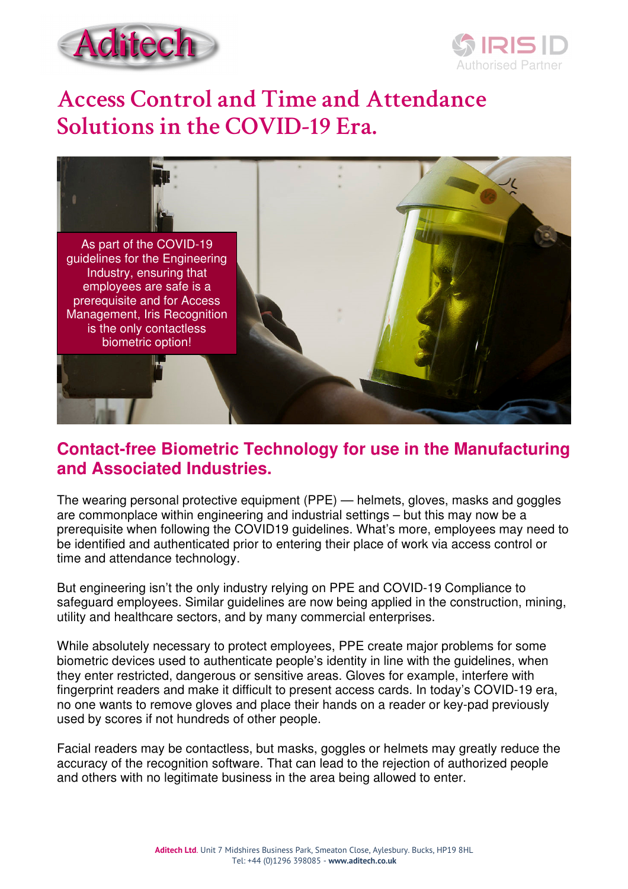



# **Access Control and Time and Attendance Solutions in the COVID-19 Era.**



### **Contact-free Biometric Technology for use in the Manufacturing and Associated Industries.**

The wearing personal protective equipment (PPE) — helmets, gloves, masks and goggles are commonplace within engineering and industrial settings – but this may now be a prerequisite when following the COVID19 guidelines. What's more, employees may need to be identified and authenticated prior to entering their place of work via access control or time and attendance technology.

But engineering isn't the only industry relying on PPE and COVID-19 Compliance to safeguard employees. Similar guidelines are now being applied in the construction, mining, utility and healthcare sectors, and by many commercial enterprises.

While absolutely necessary to protect employees, PPE create major problems for some biometric devices used to authenticate people's identity in line with the guidelines, when they enter restricted, dangerous or sensitive areas. Gloves for example, interfere with fingerprint readers and make it difficult to present access cards. In today's COVID-19 era, no one wants to remove gloves and place their hands on a reader or key-pad previously used by scores if not hundreds of other people.

Facial readers may be contactless, but masks, goggles or helmets may greatly reduce the accuracy of the recognition software. That can lead to the rejection of authorized people and others with no legitimate business in the area being allowed to enter.